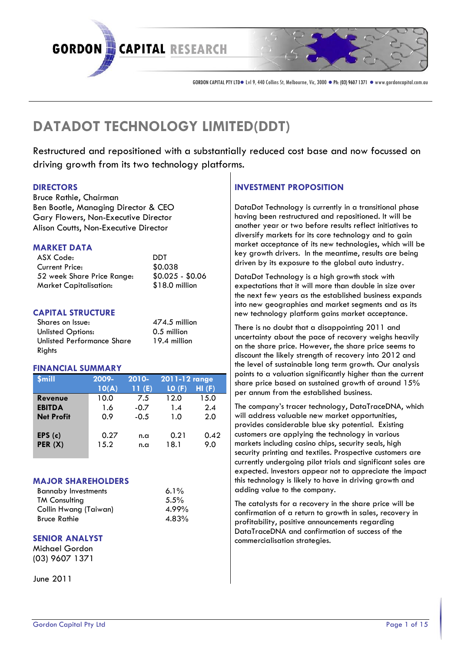# DATADOT TECHNOLOGEDYT

Restructured and repositioned with a substantially driving growth from its two technology platforms.

#### DIRECTORS

Bruce RaCthiaeirman Ben Bod Malbenaging & iCeEcOlor Gary *Wers* Netructive Director Alison CNoouHEtxsecutive Director

## MARKET DATA

| ASX Code:                        | nn t   |
|----------------------------------|--------|
| Current: Price                   | \$0038 |
| 52 week Share Pri \$0.02-\$00.6  |        |
| Market Capitalisat \$18.00illior |        |

## CAPITAL STRUCTURE

Shares on Issue: 474.m5illion Unlisted Options: 0.5million Unlisted Performa 19.4 million Rights

#### FINANCIAL SUMMARY

| $\sqrt{S}$ m ill |     | 200-9 201-0 201-12 rang |      |
|------------------|-----|-------------------------|------|
|                  |     | $10(A \ 11(A \ L0 (F))$ |      |
| Revenue          |     | 10.0 7.5 12.0           | 15.0 |
| EBITDA           | 1.6 | $-0.7$ 1.4 2.4          |      |
| Net Prof         | 0.9 | $-0.5$ 1.0              | 2.0  |
|                  |     |                         |      |
| EPS(C)           | 0.2 | n.a 0.2                 | 0.4  |
| PER (X)          |     | 15.2 n.a 18.1 9.0       |      |
|                  |     |                         |      |

## MAJOR SHAREHOLDERS

Bannaby Investment 6.% TM Consulting 5.5% Collin Hwang (Taiwa  $4.99$ Bruce Rathie 4.83

## SENIOR ANALYST

Michael Gordon (03) 9607 1371

Jun<sub>2</sub>e01 1

## INVESTMENT PROPOSITION

DataDot Tecils noulogeyntly in a tran having besetmuctured and repositi another year or two before resul diversify markets for its cogained  $m$  arket accepits nncew of technich will be  $m$  $key$  growth dirinvelings meantime are driven by its exposure to the glo

DataDothTnology is a high growth expectations that it will more the the next few the established business the expanding the expanding to  $\mathbf{r}$ into new geographies and market newechnopolaty form gains market a

 $\begin{bmatrix} 10 & (F) \\ 4.9 & 6.15 & 0 \end{bmatrix}$  per annum from the established There is bonto t**he a**bontisea ppoi $2n0$  in that on d uncertainty about the pace of re on the share preicer, the share price discount the likely strength of  $r \in$ the level of sustainable Olom gantary points to a valuation significantl share price baseadined growth of

> The company s trac  $\mathbb Q$  at tec To than  $\mathbb Q$  on  $\mathbb N$  or will address neaw unabalreket opportur provides considerable b**Euxessknyg** p customers are applying the techi marketsuding casino chips, secur security printing and textiles. Pr currently undergoing pilot trialese expected. Investors appear not to this technology is likveihyg togrowthen adding value to the company.

> The catalysts for a recovery in t confirmation of a return, recogvery profitab piblisty tive annosumecopament into DataTraceD&N&onfirmation of suc commercialisation strategies.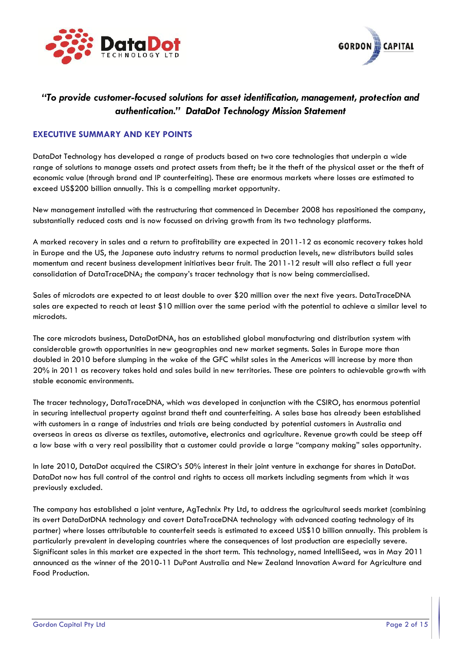



## *"To provide customer-focused solutions for asset identification, management, protection and authentication." DataDot Technology Mission Statement*

#### **EXECUTIVE SUMMARY AND KEY POINTS**

DataDot Technology has developed a range of products based on two core technologies that underpin a wide range of solutions to manage assets and protect assets from theft; be it the theft of the physical asset or the theft of economic value (through brand and IP counterfeiting). These are enormous markets where losses are estimated to exceed US\$200 billion annually. This is a compelling market opportunity.

New management installed with the restructuring that commenced in December 2008 has repositioned the company, substantially reduced costs and is now focussed on driving growth from its two technology platforms.

A marked recovery in sales and a return to profitability are expected in 2011-12 as economic recovery takes hold in Europe and the US, the Japanese auto industry returns to normal production levels, new distributors build sales momentum and recent business development initiatives bear fruit. The 2011-12 result will also reflect a full year consolidation of DataTraceDNA; the company's tracer technology that is now being commercialised.

Sales of microdots are expected to at least double to over \$20 million over the next five years. DataTraceDNA sales are expected to reach at least \$10 million over the same period with the potential to achieve a similar level to microdots.

The core microdots business, DataDotDNA, has an established global manufacturing and distribution system with considerable growth opportunities in new geographies and new market segments. Sales in Europe more than doubled in 2010 before slumping in the wake of the GFC whilst sales in the Americas will increase by more than 20% in 2011 as recovery takes hold and sales build in new territories. These are pointers to achievable growth with stable economic environments.

The tracer technology, DataTraceDNA, which was developed in conjunction with the CSIRO, has enormous potential in securing intellectual property against brand theft and counterfeiting. A sales base has already been established with customers in a range of industries and trials are being conducted by potential customers in Australia and overseas in areas as diverse as textiles, automotive, electronics and agriculture. Revenue growth could be steep off a low base with a very real possibility that a customer could provide a large "company making" sales opportunity.

In late 2010, DataDot acquired the CSIRO's 50% interest in their joint venture in exchange for shares in DataDot. DataDot now has full control of the control and rights to access all markets including segments from which it was previously excluded.

The company has established a joint venture, AgTechnix Pty Ltd, to address the agricultural seeds market (combining its overt DataDotDNA technology and covert DataTraceDNA technology with advanced coating technology of its partner) where losses attributable to counterfeit seeds is estimated to exceed US\$10 billion annually. This problem is particularly prevalent in developing countries where the consequences of lost production are especially severe. Significant sales in this market are expected in the short term. This technology, named IntelliSeed, was in May 2011 announced as the winner of the 2010-11 DuPont Australia and New Zealand Innovation Award for Agriculture and Food Production.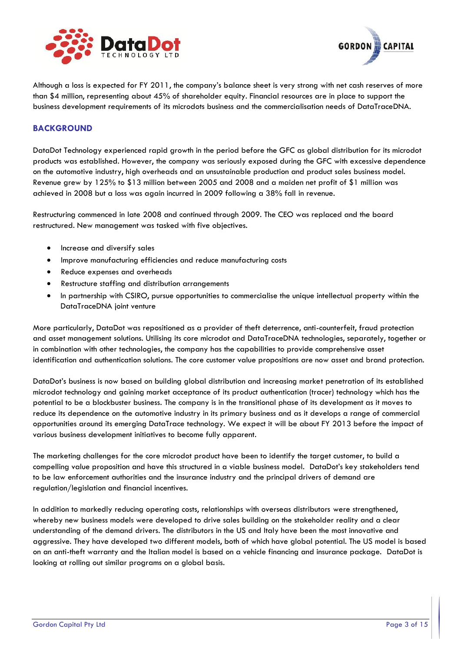



Although a loss is expected for FY 2011, the company's balance sheet is very strong with net cash reserves of more than \$4 million, representing about 45% of shareholder equity. Financial resources are in place to support the business development requirements of its microdots business and the commercialisation needs of DataTraceDNA.

#### **BACKGROUND**

DataDot Technology experienced rapid growth in the period before the GFC as global distribution for its microdot products was established. However, the company was seriously exposed during the GFC with excessive dependence on the automotive industry, high overheads and an unsustainable production and product sales business model. Revenue grew by 125% to \$13 million between 2005 and 2008 and a maiden net profit of \$1 million was achieved in 2008 but a loss was again incurred in 2009 following a 38% fall in revenue.

Restructuring commenced in late 2008 and continued through 2009. The CEO was replaced and the board restructured. New management was tasked with five objectives.

- Increase and diversify sales
- Improve manufacturing efficiencies and reduce manufacturing costs
- Reduce expenses and overheads
- Restructure staffing and distribution arrangements
- In partnership with CSIRO, pursue opportunities to commercialise the unique intellectual property within the DataTraceDNA joint venture

More particularly, DataDot was repositioned as a provider of theft deterrence, anti-counterfeit, fraud protection and asset management solutions. Utilising its core microdot and DataTraceDNA technologies, separately, together or in combination with other technologies, the company has the capabilities to provide comprehensive asset identification and authentication solutions. The core customer value propositions are now asset and brand protection.

DataDot's business is now based on building global distribution and increasing market penetration of its established microdot technology and gaining market acceptance of its product authentication (tracer) technology which has the potential to be a blockbuster business. The company is in the transitional phase of its development as it moves to reduce its dependence on the automotive industry in its primary business and as it develops a range of commercial opportunities around its emerging DataTrace technology. We expect it will be about FY 2013 before the impact of various business development initiatives to become fully apparent.

The marketing challenges for the core microdot product have been to identify the target customer, to build a compelling value proposition and have this structured in a viable business model. DataDot's key stakeholders tend to be law enforcement authorities and the insurance industry and the principal drivers of demand are regulation/legislation and financial incentives.

In addition to markedly reducing operating costs, relationships with overseas distributors were strengthened, whereby new business models were developed to drive sales building on the stakeholder reality and a clear understanding of the demand drivers. The distributors in the US and Italy have been the most innovative and aggressive. They have developed two different models, both of which have global potential. The US model is based on an anti-theft warranty and the Italian model is based on a vehicle financing and insurance package. DataDot is looking at rolling out similar programs on a global basis.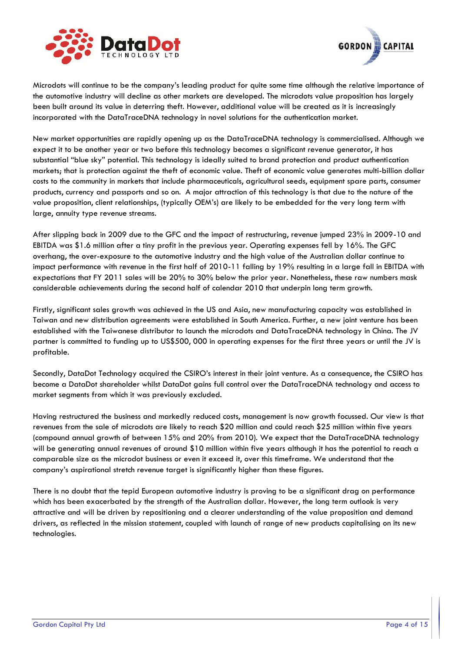



Microdots will continue to be the company's leading product for quite some time although the relative importance of the automotive industry will decline as other markets are developed. The microdots value proposition has largely been built around its value in deterring theft. However, additional value will be created as it is increasingly incorporated with the DataTraceDNA technology in novel solutions for the authentication market.

New market opportunities are rapidly opening up as the DataTraceDNA technology is commercialised. Although we expect it to be another year or two before this technology becomes a significant revenue generator, it has substantial "blue sky" potential. This technology is ideally suited to brand protection and product authentication markets; that is protection against the theft of economic value. Theft of economic value generates multi-billion dollar costs to the community in markets that include pharmaceuticals, agricultural seeds, equipment spare parts, consumer products, currency and passports and so on. A major attraction of this technology is that due to the nature of the value proposition, client relationships, (typically OEM's) are likely to be embedded for the very long term with large, annuity type revenue streams.

After slipping back in 2009 due to the GFC and the impact of restructuring, revenue jumped 23% in 2009-10 and EBITDA was \$1.6 million after a tiny profit in the previous year. Operating expenses fell by 16%. The GFC overhang, the over-exposure to the automotive industry and the high value of the Australian dollar continue to impact performance with revenue in the first half of 2010-11 falling by 19% resulting in a large fall in EBITDA with expectations that FY 2011 sales will be 20% to 30% below the prior year. Nonetheless, these raw numbers mask considerable achievements during the second half of calendar 2010 that underpin long term growth.

Firstly, significant sales growth was achieved in the US and Asia, new manufacturing capacity was established in Taiwan and new distribution agreements were established in South America. Further, a new joint venture has been established with the Taiwanese distributor to launch the microdots and DataTraceDNA technology in China. The JV partner is committed to funding up to US\$500, 000 in operating expenses for the first three years or until the JV is profitable.

Secondly, DataDot Technology acquired the CSIRO's interest in their joint venture. As a consequence, the CSIRO has become a DataDot shareholder whilst DataDot gains full control over the DataTraceDNA technology and access to market segments from which it was previously excluded.

Having restructured the business and markedly reduced costs, management is now growth focussed. Our view is that revenues from the sale of microdots are likely to reach \$20 million and could reach \$25 million within five years (compound annual growth of between 15% and 20% from 2010). We expect that the DataTraceDNA technology will be generating annual revenues of around \$10 million within five years although it has the potential to reach a comparable size as the microdot business or even it exceed it, over this timeframe. We understand that the company's aspirational stretch revenue target is significantly higher than these figures.

There is no doubt that the tepid European automotive industry is proving to be a significant drag on performance which has been exacerbated by the strength of the Australian dollar. However, the long term outlook is very attractive and will be driven by repositioning and a clearer understanding of the value proposition and demand drivers, as reflected in the mission statement, coupled with launch of range of new products capitalising on its new technologies.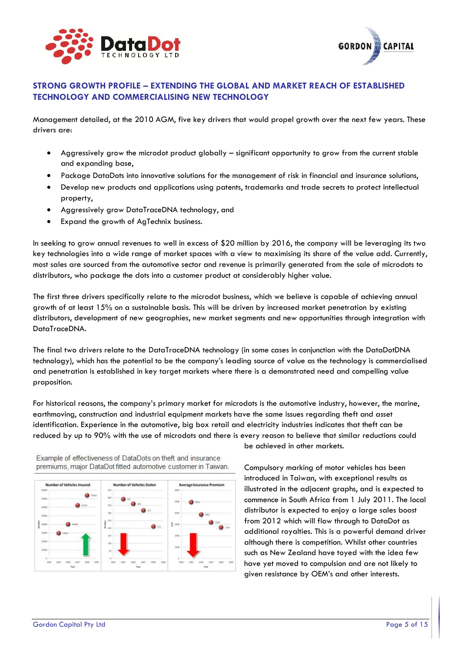



## **STRONG GROWTH PROFILE – EXTENDING THE GLOBAL AND MARKET REACH OF ESTABLISHED TECHNOLOGY AND COMMERCIALISING NEW TECHNOLOGY**

Management detailed, at the 2010 AGM, five key drivers that would propel growth over the next few years. These drivers are:

- Aggressively grow the microdot product globally significant opportunity to grow from the current stable and expanding base,
- Package DataDots into innovative solutions for the management of risk in financial and insurance solutions,
- Develop new products and applications using patents, trademarks and trade secrets to protect intellectual property,
- Aggressively grow DataTraceDNA technology, and
- Expand the growth of AgTechnix business.

In seeking to grow annual revenues to well in excess of \$20 million by 2016, the company will be leveraging its two key technologies into a wide range of market spaces with a view to maximising its share of the value add. Currently, most sales are sourced from the automotive sector and revenue is primarily generated from the sale of microdots to distributors, who package the dots into a customer product at considerably higher value.

The first three drivers specifically relate to the microdot business, which we believe is capable of achieving annual growth of at least 15% on a sustainable basis. This will be driven by increased market penetration by existing distributors, development of new geographies, new market segments and new opportunities through integration with DataTraceDNA.

The final two drivers relate to the DataTraceDNA technology (in some cases in conjunction with the DataDotDNA technology), which has the potential to be the company's leading source of value as the technology is commercialised and penetration is established in key target markets where there is a demonstrated need and compelling value proposition.

For historical reasons, the company's primary market for microdots is the automotive industry, however, the marine, earthmoving, construction and industrial equipment markets have the same issues regarding theft and asset identification. Experience in the automotive, big box retail and electricity industries indicates that theft can be reduced by up to 90% with the use of microdots and there is every reason to believe that similar reductions could



Example of effectiveness of DataDots on theft and insurance premiums, major DataDot fitted automotive customer in Taiwan. be achieved in other markets.

Compulsory marking of motor vehicles has been introduced in Taiwan, with exceptional results as illustrated in the adjacent graphs, and is expected to commence in South Africa from 1 July 2011. The local distributor is expected to enjoy a large sales boost from 2012 which will flow through to DataDot as additional royalties. This is a powerful demand driver although there is competition. Whilst other countries such as New Zealand have toyed with the idea few have yet moved to compulsion and are not likely to given resistance by OEM's and other interests.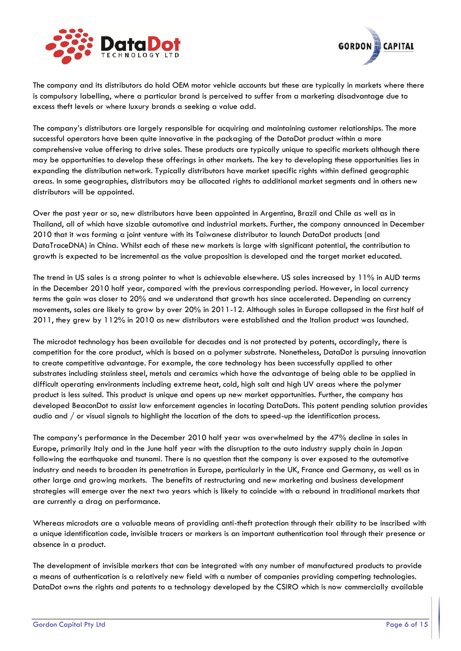



The company and its distributors do hold OEM motor vehicle accounts but these are typically in markets where there is compulsory labelling, where a particular brand is perceived to suffer from a marketing disadvantage due to excess theft levels or where luxury brands a seeking a value add.

The company's distributors are largely responsible for acquiring and maintaining customer relationships. The more successful operators have been quite innovative in the packaging of the DataDot product within a more comprehensive value offering to drive sales. These products are typically unique to specific markets although there may be opportunities to develop these offerings in other markets. The key to developing these opportunities lies in expanding the distribution network. Typically distributors have market specific rights within defined geographic areas. In some geographies, distributors may be allocated rights to additional market segments and in others new distributors will be appointed.

Over the past year or so, new distributors have been appointed in Argentina, Brazil and Chile as well as in Thailand, all of which have sizable automotive and industrial markets. Further, the company announced in December 2010 that it was forming a joint venture with its Taiwanese distributor to launch DataDot products (and DataTraceDNA) in China. Whilst each of these new markets is large with significant potential, the contribution to growth is expected to be incremental as the value proposition is developed and the target market educated.

The trend in US sales is a strong pointer to what is achievable elsewhere. US sales increased by 11% in AUD terms in the December 2010 half year, compared with the previous corresponding period. However, in local currency terms the gain was closer to 20% and we understand that growth has since accelerated. Depending on currency movements, sales are likely to grow by over 20% in 2011-12. Although sales in Europe collapsed in the first half of 2011, they grew by 112% in 2010 as new distributors were established and the Italian product was launched.

The microdot technology has been available for decades and is not protected by patents, accordingly, there is competition for the core product, which is based on a polymer substrate. Nonetheless, DataDot is pursuing innovation to create competitive advantage. For example, the core technology has been successfully applied to other substrates including stainless steel, metals and ceramics which have the advantage of being able to be applied in difficult operating environments including extreme heat, cold, high salt and high UV areas where the polymer product is less suited. This product is unique and opens up new market opportunities. Further, the company has developed BeaconDot to assist law enforcement agencies in locating DataDots. This patent pending solution provides audio and / or visual signals to highlight the location of the dots to speed-up the identification process.

The company's performance in the December 2010 half year was overwhelmed by the 47% decline in sales in Europe, primarily Italy and in the June half year with the disruption to the auto industry supply chain in Japan following the earthquake and tsunami. There is no question that the company is over exposed to the automotive industry and needs to broaden its penetration in Europe, particularly in the UK, France and Germany, as well as in other large and growing markets. The benefits of restructuring and new marketing and business development strategies will emerge over the next two years which is likely to coincide with a rebound in traditional markets that are currently a drag on performance.

Whereas microdots are a valuable means of providing anti-theft protection through their ability to be inscribed with a unique identification code, invisible tracers or markers is an important authentication tool through their presence or absence in a product.

The development of invisible markers that can be integrated with any number of manufactured products to provide a means of authentication is a relatively new field with a number of companies providing competing technologies. DataDot owns the rights and patents to a technology developed by the CSIRO which is now commercially available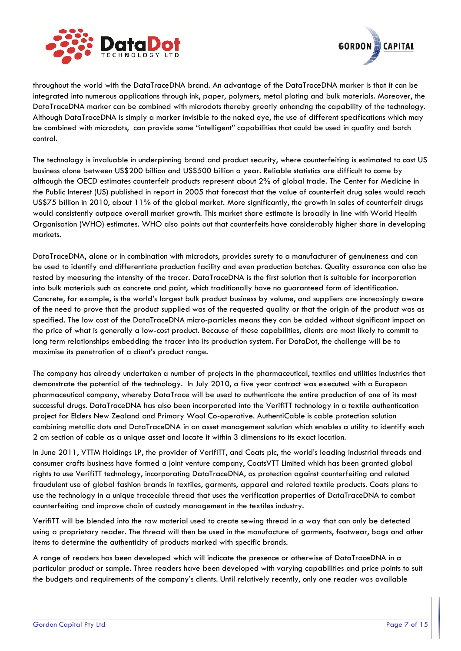



throughout the world with the DataTraceDNA brand. An advantage of the DataTraceDNA marker is that it can be integrated into numerous applications through ink, paper, polymers, metal plating and bulk materials. Moreover, the DataTraceDNA marker can be combined with microdots thereby greatly enhancing the capability of the technology. Although DataTraceDNA is simply a marker invisible to the naked eye, the use of different specifications which may be combined with microdots, can provide some "intelligent" capabilities that could be used in quality and batch control.

The technology is invaluable in underpinning brand and product security, where counterfeiting is estimated to cost US business alone between US\$200 billion and US\$500 billion a year. Reliable statistics are difficult to come by although the OECD estimates counterfeit products represent about 2% of global trade. The Center for Medicine in the Public Interest (US) published in report in 2005 that forecast that the value of counterfeit drug sales would reach US\$75 billion in 2010, about 11% of the global market. More significantly, the growth in sales of counterfeit drugs would consistently outpace overall market growth. This market share estimate is broadly in line with World Health Organisation (WHO) estimates. WHO also points out that counterfeits have considerably higher share in developing markets.

DataTraceDNA, alone or in combination with microdots, provides surety to a manufacturer of genuineness and can be used to identify and differentiate production facility and even production batches. Quality assurance can also be tested by measuring the intensity of the tracer. DataTraceDNA is the first solution that is suitable for incorporation into bulk materials such as concrete and paint, which traditionally have no guaranteed form of identification. Concrete, for example, is the world's largest bulk product business by volume, and suppliers are increasingly aware of the need to prove that the product supplied was of the requested quality or that the origin of the product was as specified. The low cost of the DataTraceDNA micro-particles means they can be added without significant impact on the price of what is generally a low-cost product. Because of these capabilities, clients are most likely to commit to long term relationships embedding the tracer into its production system. For DataDot, the challenge will be to maximise its penetration of a client's product range.

The company has already undertaken a number of projects in the pharmaceutical, textiles and utilities industries that demonstrate the potential of the technology. In July 2010, a five year contract was executed with a European pharmaceutical company, whereby DataTrace will be used to authenticate the entire production of one of its most successful drugs. DataTraceDNA has also been incorporated into the VerifiTT technology in a textile authentication project for Elders New Zealand and Primary Wool Co-operative. AuthentiCable is cable protection solution combining metallic dots and DataTraceDNA in an asset management solution which enables a utility to identify each 2 cm section of cable as a unique asset and locate it within 3 dimensions to its exact location.

In June 2011, VTTM Holdings LP, the provider of VerifiTT, and Coats plc, the world's leading industrial threads and consumer crafts business have formed a joint venture company, CoatsVTT Limited which has been granted global rights to use VerifiTT technology, incorporating DataTraceDNA, as protection against counterfeiting and related fraudulent use of global fashion brands in textiles, garments, apparel and related textile products. Coats plans to use the technology in a unique traceable thread that uses the verification properties of DataTraceDNA to combat counterfeiting and improve chain of custody management in the textiles industry.

VerifiTT will be blended into the raw material used to create sewing thread in a way that can only be detected using a proprietary reader. The thread will then be used in the manufacture of garments, footwear, bags and other items to determine the authenticity of products marked with specific brands.

A range of readers has been developed which will indicate the presence or otherwise of DataTraceDNA in a particular product or sample. Three readers have been developed with varying capabilities and price points to suit the budgets and requirements of the company's clients. Until relatively recently, only one reader was available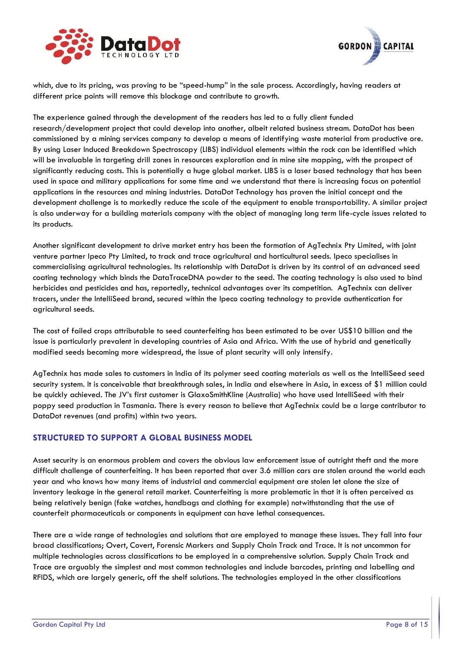



which, due to its pricing, was proving to be "speed-hump" in the sale process. Accordingly, having readers at different price points will remove this blockage and contribute to growth.

The experience gained through the development of the readers has led to a fully client funded research/development project that could develop into another, albeit related business stream. DataDot has been commissioned by a mining services company to develop a means of identifying waste material from productive ore. By using Laser Induced Breakdown Spectroscopy (LIBS) individual elements within the rock can be identified which will be invaluable in targeting drill zones in resources exploration and in mine site mapping, with the prospect of significantly reducing costs. This is potentially a huge global market. LIBS is a laser based technology that has been used in space and military applications for some time and we understand that there is increasing focus on potential applications in the resources and mining industries. DataDot Technology has proven the initial concept and the development challenge is to markedly reduce the scale of the equipment to enable transportability. A similar project is also underway for a building materials company with the object of managing long term life-cycle issues related to its products.

Another significant development to drive market entry has been the formation of AgTechnix Pty Limited, with joint venture partner Ipeco Pty Limited, to track and trace agricultural and horticultural seeds. Ipeco specialises in commercialising agricultural technologies. Its relationship with DataDot is driven by its control of an advanced seed coating technology which binds the DataTraceDNA powder to the seed. The coating technology is also used to bind herbicides and pesticides and has, reportedly, technical advantages over its competition. AgTechnix can deliver tracers, under the IntelliSeed brand, secured within the Ipeco coating technology to provide authentication for agricultural seeds.

The cost of failed crops attributable to seed counterfeiting has been estimated to be over US\$10 billion and the issue is particularly prevalent in developing countries of Asia and Africa. With the use of hybrid and genetically modified seeds becoming more widespread, the issue of plant security will only intensify.

AgTechnix has made sales to customers in India of its polymer seed coating materials as well as the IntelliSeed seed security system. It is conceivable that breakthrough sales, in India and elsewhere in Asia, in excess of \$1 million could be quickly achieved. The JV's first customer is GlaxoSmithKline (Australia) who have used IntelliSeed with their poppy seed production in Tasmania. There is every reason to believe that AgTechnix could be a large contributor to DataDot revenues (and profits) within two years.

## **STRUCTURED TO SUPPORT A GLOBAL BUSINESS MODEL**

Asset security is an enormous problem and covers the obvious law enforcement issue of outright theft and the more difficult challenge of counterfeiting. It has been reported that over 3.6 million cars are stolen around the world each year and who knows how many items of industrial and commercial equipment are stolen let alone the size of inventory leakage in the general retail market. Counterfeiting is more problematic in that it is often perceived as being relatively benign (fake watches, handbags and clothing for example) notwithstanding that the use of counterfeit pharmaceuticals or components in equipment can have lethal consequences.

There are a wide range of technologies and solutions that are employed to manage these issues. They fall into four broad classifications; Overt, Covert, Forensic Markers and Supply Chain Track and Trace. It is not uncommon for multiple technologies across classifications to be employed in a comprehensive solution. Supply Chain Track and Trace are arguably the simplest and most common technologies and include barcodes, printing and labelling and RFIDS, which are largely generic, off the shelf solutions. The technologies employed in the other classifications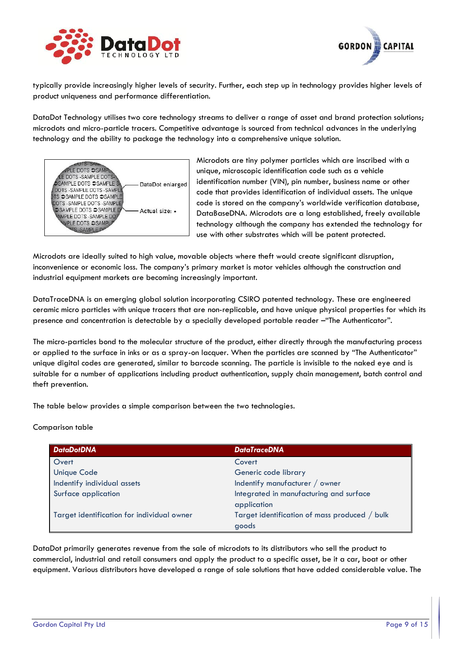



typically provide increasingly higher levels of security. Further, each step up in technology provides higher levels of product uniqueness and performance differentiation.

DataDot Technology utilises two core technology streams to deliver a range of asset and brand protection solutions; microdots and micro-particle tracers. Competitive advantage is sourced from technical advances in the underlying technology and the ability to package the technology into a comprehensive unique solution.



Microdots are tiny polymer particles which are inscribed with a unique, microscopic identification code such as a vehicle identification number (VIN), pin number, business name or other code that provides identification of individual assets. The unique code is stored on the company's worldwide verification database, DataBaseDNA. Microdots are a long established, freely available technology although the company has extended the technology for use with other substrates which will be patent protected.

Microdots are ideally suited to high value, movable objects where theft would create significant disruption, inconvenience or economic loss. The company's primary market is motor vehicles although the construction and industrial equipment markets are becoming increasingly important.

DataTraceDNA is an emerging global solution incorporating CSIRO patented technology. These are engineered ceramic micro particles with unique tracers that are non-replicable, and have unique physical properties for which its presence and concentration is detectable by a specially developed portable reader –"The Authenticator".

The micro-particles bond to the molecular structure of the product, either directly through the manufacturing process or applied to the surface in inks or as a spray-on lacquer. When the particles are scanned by "The Authenticator" unique digital codes are generated, similar to barcode scanning. The particle is invisible to the naked eye and is suitable for a number of applications including product authentication, supply chain management, batch control and theft prevention.

The table below provides a simple comparison between the two technologies.

#### Comparison table

| <b>DataDotDNA</b>                          | <b>DataTraceDNA</b>                           |
|--------------------------------------------|-----------------------------------------------|
| Overt                                      | Covert                                        |
| <b>Unique Code</b>                         | Generic code library                          |
| Indentify individual assets                | Indentify manufacturer / owner                |
| Surface application                        | Integrated in manufacturing and surface       |
|                                            | application                                   |
| Target identification for individual owner | Target identification of mass produced / bulk |
|                                            | goods                                         |

DataDot primarily generates revenue from the sale of microdots to its distributors who sell the product to commercial, industrial and retail consumers and apply the product to a specific asset, be it a car, boat or other equipment. Various distributors have developed a range of sale solutions that have added considerable value. The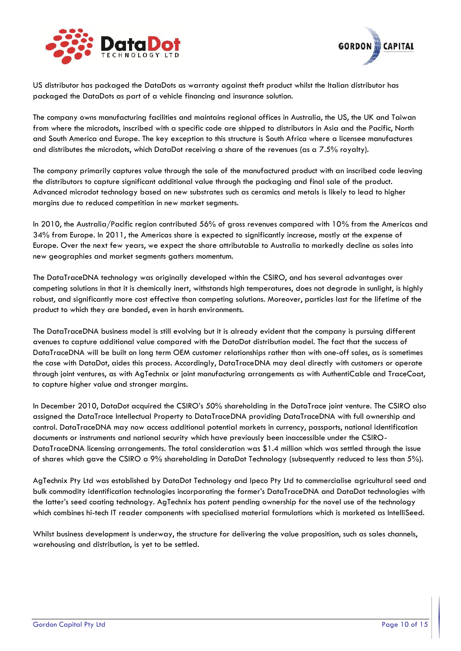



US distributor has packaged the DataDots as warranty against theft product whilst the Italian distributor has packaged the DataDots as part of a vehicle financing and insurance solution.

The company owns manufacturing facilities and maintains regional offices in Australia, the US, the UK and Taiwan from where the microdots, inscribed with a specific code are shipped to distributors in Asia and the Pacific, North and South America and Europe. The key exception to this structure is South Africa where a licensee manufactures and distributes the microdots, which DataDot receiving a share of the revenues (as a 7.5% royalty).

The company primarily captures value through the sale of the manufactured product with an inscribed code leaving the distributors to capture significant additional value through the packaging and final sale of the product. Advanced microdot technology based on new substrates such as ceramics and metals is likely to lead to higher margins due to reduced competition in new market segments.

In 2010, the Australia/Pacific region contributed 56% of gross revenues compared with 10% from the Americas and 34% from Europe. In 2011, the Americas share is expected to significantly increase, mostly at the expense of Europe. Over the next few years, we expect the share attributable to Australia to markedly decline as sales into new geographies and market segments gathers momentum.

The DataTraceDNA technology was originally developed within the CSIRO, and has several advantages over competing solutions in that it is chemically inert, withstands high temperatures, does not degrade in sunlight, is highly robust, and significantly more cost effective than competing solutions. Moreover, particles last for the lifetime of the product to which they are bonded, even in harsh environments.

The DataTraceDNA business model is still evolving but it is already evident that the company is pursuing different avenues to capture additional value compared with the DataDot distribution model. The fact that the success of DataTraceDNA will be built on long term OEM customer relationships rather than with one-off sales, as is sometimes the case with DataDot, aides this process. Accordingly, DataTraceDNA may deal directly with customers or operate through joint ventures, as with AgTechnix or joint manufacturing arrangements as with AuthentiCable and TraceCoat, to capture higher value and stronger margins.

In December 2010, DataDot acquired the CSIRO's 50% shareholding in the DataTrace joint venture. The CSIRO also assigned the DataTrace Intellectual Property to DataTraceDNA providing DataTraceDNA with full ownership and control. DataTraceDNA may now access additional potential markets in currency, passports, national identification documents or instruments and national security which have previously been inaccessible under the CSIRO-DataTraceDNA licensing arrangements. The total consideration was \$1.4 million which was settled through the issue of shares which gave the CSIRO a 9% shareholding in DataDot Technology (subsequently reduced to less than 5%).

AgTechnix Pty Ltd was established by DataDot Technology and Ipeco Pty Ltd to commercialise agricultural seed and bulk commodity identification technologies incorporating the former's DataTraceDNA and DataDot technologies with the latter's seed coating technology. AgTechnix has patent pending ownership for the novel use of the technology which combines hi-tech IT reader components with specialised material formulations which is marketed as IntelliSeed.

Whilst business development is underway, the structure for delivering the value proposition, such as sales channels, warehousing and distribution, is yet to be settled.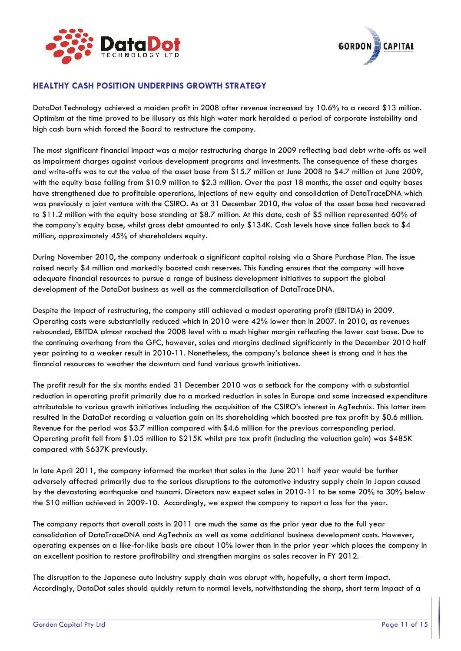



#### **HEALTHY CASH POSITION UNDERPINS GROWTH STRATEGY**

DataDot Technology achieved a maiden profit in 2008 after revenue increased by 10.6% to a record \$13 million. Optimism at the time proved to be illusory as this high water mark heralded a period of corporate instability and high cash burn which forced the Board to restructure the company.

The most significant financial impact was a major restructuring charge in 2009 reflecting bad debt write-offs as well as impairment charges against various development programs and investments. The consequence of these charges and write-offs was to cut the value of the asset base from \$15.7 million at June 2008 to \$4.7 million at June 2009, with the equity base falling from \$10.9 million to \$2.3 million. Over the past 18 months, the asset and equity bases have strengthened due to profitable operations, injections of new equity and consolidation of DataTraceDNA which was previously a joint venture with the CSIRO. As at 31 December 2010, the value of the asset base had recovered to \$11.2 million with the equity base standing at \$8.7 million. At this date, cash of \$5 million represented 60% of the company's equity base, whilst gross debt amounted to only \$134K. Cash levels have since fallen back to \$4 million, approximately 45% of shareholders equity.

During November 2010, the company undertook a significant capital raising via a Share Purchase Plan. The issue raised nearly \$4 million and markedly boosted cash reserves. This funding ensures that the company will have adequate financial resources to pursue a range of business development initiatives to support the global development of the DataDot business as well as the commercialisation of DataTraceDNA.

Despite the impact of restructuring, the company still achieved a modest operating profit (EBITDA) in 2009. Operating costs were substantially reduced which in 2010 were 42% lower than in 2007. In 2010, as revenues rebounded, EBITDA almost reached the 2008 level with a much higher margin reflecting the lower cost base. Due to the continuing overhang from the GFC, however, sales and margins declined significantly in the December 2010 half year pointing to a weaker result in 2010-11. Nonetheless, the company's balance sheet is strong and it has the financial resources to weather the downturn and fund various growth initiatives.

The profit result for the six months ended 31 December 2010 was a setback for the company with a substantial reduction in operating profit primarily due to a marked reduction in sales in Europe and some increased expenditure attributable to various growth initiatives including the acquisition of the CSIRO's interest in AgTechnix. This latter item resulted in the DataDot recording a valuation gain on its shareholding which boosted pre tax profit by \$0.6 million. Revenue for the period was \$3.7 million compared with \$4.6 million for the previous corresponding period. Operating profit fell from \$1.05 million to \$215K whilst pre tax profit (including the valuation gain) was \$485K compared with \$637K previously.

In late April 2011, the company informed the market that sales in the June 2011 half year would be further adversely affected primarily due to the serious disruptions to the automotive industry supply chain in Japan caused by the devastating earthquake and tsunami. Directors now expect sales in 2010-11 to be some 20% to 30% below the \$10 million achieved in 2009-10. Accordingly, we expect the company to report a loss for the year.

The company reports that overall costs in 2011 are much the same as the prior year due to the full year consolidation of DataTraceDNA and AgTechnix as well as some additional business development costs. However, operating expenses on a like-for-like basis are about 10% lower than in the prior year which places the company in an excellent position to restore profitability and strengthen margins as sales recover in FY 2012.

The disruption to the Japanese auto industry supply chain was abrupt with, hopefully, a short term impact. Accordingly, DataDot sales should quickly return to normal levels, notwithstanding the sharp, short term impact of a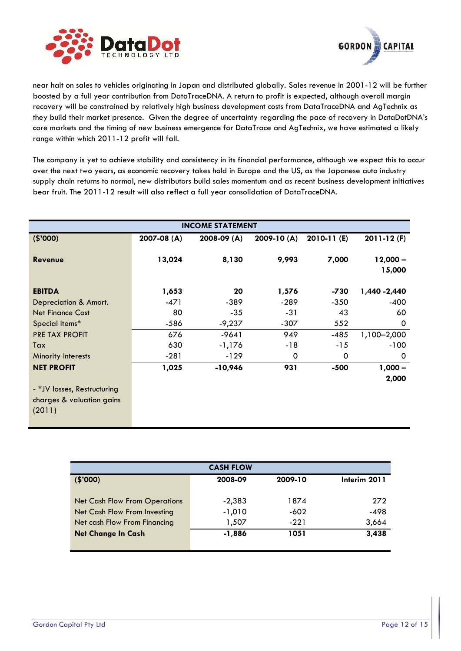



near halt on sales to vehicles originating in Japan and distributed globally. Sales revenue in 2001-12 will be further boosted by a full year contribution from DataTraceDNA. A return to profit is expected, although overall margin recovery will be constrained by relatively high business development costs from DataTraceDNA and AgTechnix as they build their market presence. Given the degree of uncertainty regarding the pace of recovery in DataDotDNA's core markets and the timing of new business emergence for DataTrace and AgTechnix, we have estimated a likely range within which 2011-12 profit will fall.

The company is yet to achieve stability and consistency in its financial performance, although we expect this to occur over the next two years, as economic recovery takes hold in Europe and the US, as the Japanese auto industry supply chain returns to normal, new distributors build sales momentum and as recent business development initiatives bear fruit. The 2011-12 result will also reflect a full year consolidation of DataTraceDNA.

| <b>INCOME STATEMENT</b>                                                       |             |             |            |             |                      |
|-------------------------------------------------------------------------------|-------------|-------------|------------|-------------|----------------------|
| (\$'000)                                                                      | 2007-08 (A) | 2008-09 (A) | 2009-10(A) | 2010-11 (E) | $2011 - 12$ (F)      |
| <b>Revenue</b>                                                                | 13,024      | 8,130       | 9,993      | 7,000       | $12,000 -$<br>15,000 |
| <b>EBITDA</b>                                                                 | 1,653       | 20          | 1,576      | -730        | 1,440 - 2,440        |
| Depreciation & Amort.                                                         | -471        | $-389$      | $-289$     | $-350$      | $-400$               |
| <b>Net Finance Cost</b>                                                       | 80          | $-35$       | $-31$      | 43          | 60                   |
| Special Items*                                                                | -586        | $-9,237$    | $-307$     | 552         | 0                    |
| <b>PRE TAX PROFIT</b>                                                         | 676         | $-9641$     | 949        | $-485$      | 1,100-2,000          |
| Tax                                                                           | 630         | $-1,176$    | $-18$      | $-15$       | $-100$               |
| Minority Interests                                                            | $-281$      | $-129$      | 0          | 0           | 0                    |
| <b>NET PROFIT</b><br>- *JV losses, Restructuring<br>charges & valuation gains | 1,025       | $-10,946$   | 931        | $-500$      | $1,000 -$<br>2,000   |
| (2011)                                                                        |             |             |            |             |                      |

| <b>CASH FLOW</b>                     |          |         |              |  |  |
|--------------------------------------|----------|---------|--------------|--|--|
| (\$'000)                             | 2008-09  | 2009-10 | Interim 2011 |  |  |
|                                      |          |         |              |  |  |
| <b>Net Cash Flow From Operations</b> | $-2,383$ | 1874    | 272          |  |  |
| Net Cash Flow From Investing         | $-1,010$ | -602    | -498         |  |  |
| Net cash Flow From Financing         | 1,507    | $-221$  | 3,664        |  |  |
| <b>Net Change In Cash</b>            | $-1,886$ | 1051    | 3,438        |  |  |
|                                      |          |         |              |  |  |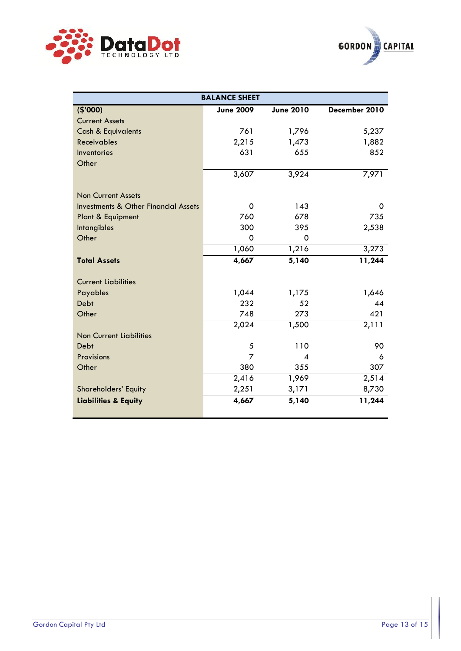



| <b>BALANCE SHEET</b>                            |                  |                  |               |  |  |
|-------------------------------------------------|------------------|------------------|---------------|--|--|
| (\$'000)                                        | <b>June 2009</b> | <b>June 2010</b> | December 2010 |  |  |
| <b>Current Assets</b>                           |                  |                  |               |  |  |
| <b>Cash &amp; Equivalents</b>                   | 761              | 1,796            | 5,237         |  |  |
| <b>Receivables</b>                              | 2,215            | 1,473            | 1,882         |  |  |
| Inventories                                     | 631              | 655              | 852           |  |  |
| Other                                           |                  |                  |               |  |  |
|                                                 | 3,607            | 3,924            | 7,971         |  |  |
| <b>Non Current Assets</b>                       |                  |                  |               |  |  |
| <b>Investments &amp; Other Financial Assets</b> | 0                | 143              | 0             |  |  |
| Plant & Equipment                               | 760              | 678              | 735           |  |  |
| <b>Intangibles</b>                              | 300              | 395              | 2,538         |  |  |
| Other                                           | 0                | $\Omega$         |               |  |  |
|                                                 | 1,060            | 1,216            | 3,273         |  |  |
| <b>Total Assets</b>                             | 4,667            | 5,140            | 11,244        |  |  |
| <b>Current Liabilities</b>                      |                  |                  |               |  |  |
| Payables                                        | 1,044            | 1,175            | 1,646         |  |  |
| Debt                                            | 232              | 52               | 44            |  |  |
| Other                                           | 748              | 273              | 421           |  |  |
|                                                 | 2,024            | 1,500            | 2,111         |  |  |
| <b>Non Current Liabilities</b>                  |                  |                  |               |  |  |
| Debt                                            | 5                | 110              | 90            |  |  |
| Provisions                                      | 7                | $\boldsymbol{A}$ | 6             |  |  |
| Other                                           | 380              | 355              | 307           |  |  |
|                                                 | 2,416            | 1,969            | 2,514         |  |  |
| <b>Shareholders' Equity</b>                     | 2,251            | 3,171            | 8,730         |  |  |
| <b>Liabilities &amp; Equity</b>                 | 4,667            | 5,140            | 11,244        |  |  |
|                                                 |                  |                  |               |  |  |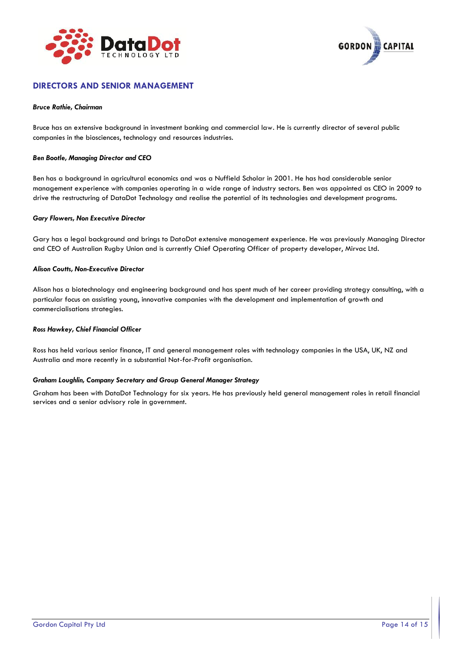



#### **DIRECTORS AND SENIOR MANAGEMENT**

#### *Bruce Rathie, Chairman*

Bruce has an extensive background in investment banking and commercial law. He is currently director of several public companies in the biosciences, technology and resources industries.

#### *Ben Bootle, Managing Director and CEO*

Ben has a background in agricultural economics and was a Nuffield Scholar in 2001. He has had considerable senior management experience with companies operating in a wide range of industry sectors. Ben was appointed as CEO in 2009 to drive the restructuring of DataDot Technology and realise the potential of its technologies and development programs.

#### *Gary Flowers, Non Executive Director*

Gary has a legal background and brings to DataDot extensive management experience. He was previously Managing Director and CEO of Australian Rugby Union and is currently Chief Operating Officer of property developer, Mirvac Ltd.

#### *Alison Coutts, Non-Executive Director*

Alison has a biotechnology and engineering background and has spent much of her career providing strategy consulting, with a particular focus on assisting young, innovative companies with the development and implementation of growth and commercialisations strategies.

#### *Ross Hawkey, Chief Financial Officer*

Ross has held various senior finance, IT and general management roles with technology companies in the USA, UK, NZ and Australia and more recently in a substantial Not-for-Profit organisation.

#### *Graham Loughlin, Company Secretary and Group General Manager Strategy*

Graham has been with DataDot Technology for six years. He has previously held general management roles in retail financial services and a senior advisory role in government.